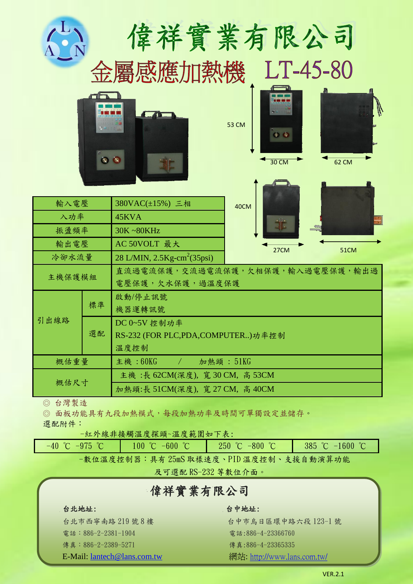|                                                                                 | $\bullet$ | 偉祥實業有限公司<br>金屬感應加熱機                                                            | <b>53 CM</b><br>$\Phi$ $\Phi$<br><b>30 CM</b> | LT-45-80<br><b>62 CM</b> |  |  |
|---------------------------------------------------------------------------------|-----------|--------------------------------------------------------------------------------|-----------------------------------------------|--------------------------|--|--|
| 輸入電壓<br>入功率<br>振盪頻率                                                             |           | 380VAC(±15%) 三相<br>45KVA<br>30K~80KHz                                          | 40CM                                          |                          |  |  |
| 輸出電壓<br>冷卻水流量                                                                   |           | AC 50VOLT 最大<br>$28$ L/MIN, $2.5$ Kg-cm <sup>2</sup> (35psi)                   | 27CM                                          | 51CM                     |  |  |
| 主機保護模組                                                                          |           | 直流過電流保護,交流過電流保護,欠相保護,輸入過電壓保護,輸出過<br>電壓保護,欠水保護,過溫度保護                            |                                               |                          |  |  |
| 引出線路                                                                            | 標準<br>選配  | 啟動/停止訊號<br>機器運轉訊號<br>DC 0~5V 控制功率<br>RS-232 (FOR PLC,PDA,COMPUTER)功率控制<br>溫度控制 |                                               |                          |  |  |
| 概估重量                                                                            |           | 主機: $60$ KG<br>加熱頭: 51KG<br>$\sim$ $\sim$ $\sim$ $\sim$                        |                                               |                          |  |  |
| 概估尺寸                                                                            |           | 主機: 長 62CM(深度), 寬 30 CM, 高 53CM<br>加熱頭:長 51CM(深度), 寬 27 CM, 高 40CM             |                                               |                          |  |  |
| ◎ 台灣製造<br>$\circledcirc$<br>選配附件:                                               |           | 面板功能具有九段加熱模式,每段加熱功率及時間可單獨設定並儲存。<br>-紅外線非接觸溫度探頭~溫度範圍如下表:                        |                                               |                          |  |  |
| 250 °C $-800$ °C<br>385 °C $-1600$ °C<br>$-40$ °C $-975$ °C<br>100 °C $-600$ °C |           |                                                                                |                                               |                          |  |  |

-數位溫度控制器:具有 25mS 取樣速度、PID 溫度控制、支援自動演算功能

及可選配 RS-232 等數位介面。

# 偉祥實業有限公司

### 台北地址: 台中地址:

電話:886-2-2381-1904 電話:886-4-23366760 **傳真:886-2-2389-5271** 傳真:886-4-23365335

台北市西寧南路 219 號 8 樓 (1998年) 1990年 台中市烏日區環中路六段 123-1 號 E-Mail: <u>lantech@lans.com.tw</u> <br>網站: <http://www.lans.com.tw/>